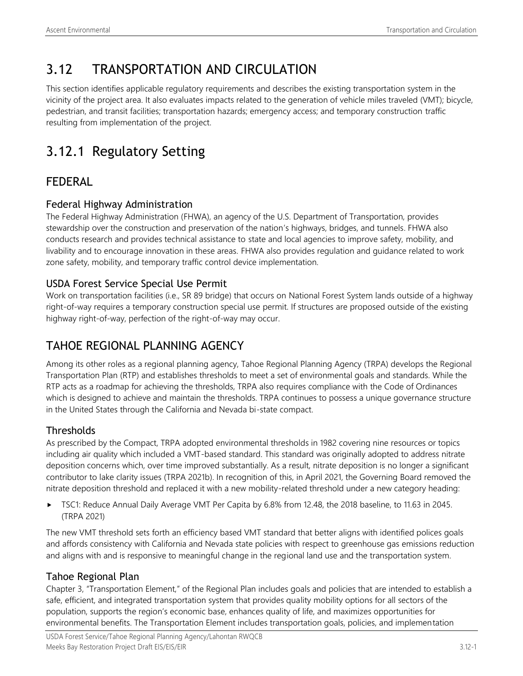# 3.12 TRANSPORTATION AND CIRCULATION

This section identifies applicable regulatory requirements and describes the existing transportation system in the vicinity of the project area. It also evaluates impacts related to the generation of vehicle miles traveled (VMT); bicycle, pedestrian, and transit facilities; transportation hazards; emergency access; and temporary construction traffic resulting from implementation of the project.

# 3.12.1 Regulatory Setting

## FEDERAL

## Federal Highway Administration

The Federal Highway Administration (FHWA), an agency of the U.S. Department of Transportation, provides stewardship over the construction and preservation of the nation's highways, bridges, and tunnels. FHWA also conducts research and provides technical assistance to state and local agencies to improve safety, mobility, and livability and to encourage innovation in these areas. FHWA also provides regulation and guidance related to work zone safety, mobility, and temporary traffic control device implementation.

## USDA Forest Service Special Use Permit

Work on transportation facilities (i.e., SR 89 bridge) that occurs on National Forest System lands outside of a highway right-of-way requires a temporary construction special use permit. If structures are proposed outside of the existing highway right-of-way, perfection of the right-of-way may occur.

## TAHOE REGIONAL PLANNING AGENCY

Among its other roles as a regional planning agency, Tahoe Regional Planning Agency (TRPA) develops the Regional Transportation Plan (RTP) and establishes thresholds to meet a set of environmental goals and standards. While the RTP acts as a roadmap for achieving the thresholds, TRPA also requires compliance with the Code of Ordinances which is designed to achieve and maintain the thresholds. TRPA continues to possess a unique governance structure in the United States through the California and Nevada bi-state compact.

## **Thresholds**

As prescribed by the Compact, TRPA adopted environmental thresholds in 1982 covering nine resources or topics including air quality which included a VMT-based standard. This standard was originally adopted to address nitrate deposition concerns which, over time improved substantially. As a result, nitrate deposition is no longer a significant contributor to lake clarity issues (TRPA 2021b). In recognition of this, in April 2021, the Governing Board removed the nitrate deposition threshold and replaced it with a new mobility-related threshold under a new category heading:

► TSC1: Reduce Annual Daily Average VMT Per Capita by 6.8% from 12.48, the 2018 baseline, to 11.63 in 2045. (TRPA 2021)

The new VMT threshold sets forth an efficiency based VMT standard that better aligns with identified polices goals and affords consistency with California and Nevada state policies with respect to greenhouse gas emissions reduction and aligns with and is responsive to meaningful change in the regional land use and the transportation system.

## Tahoe Regional Plan

Chapter 3, "Transportation Element," of the Regional Plan includes goals and policies that are intended to establish a safe, efficient, and integrated transportation system that provides quality mobility options for all sectors of the population, supports the region's economic base, enhances quality of life, and maximizes opportunities for environmental benefits. The Transportation Element includes transportation goals, policies, and implementation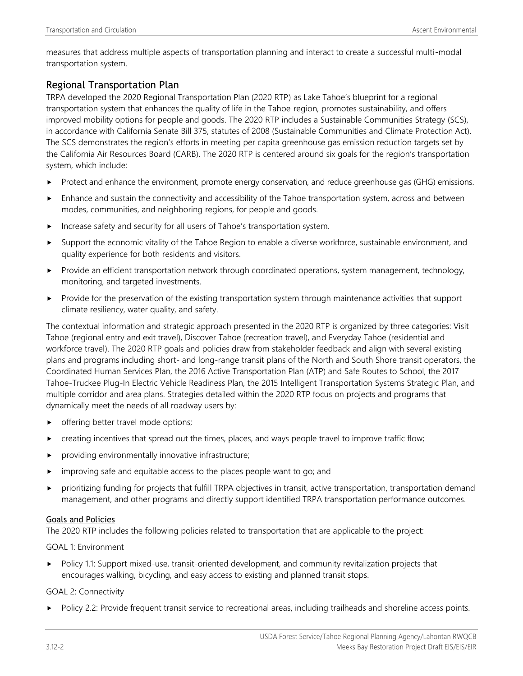measures that address multiple aspects of transportation planning and interact to create a successful multi-modal transportation system.

### Regional Transportation Plan

TRPA developed the 2020 Regional Transportation Plan (2020 RTP) as Lake Tahoe's blueprint for a regional transportation system that enhances the quality of life in the Tahoe region, promotes sustainability, and offers improved mobility options for people and goods. The 2020 RTP includes a Sustainable Communities Strategy (SCS), in accordance with California Senate Bill 375, statutes of 2008 (Sustainable Communities and Climate Protection Act). The SCS demonstrates the region's efforts in meeting per capita greenhouse gas emission reduction targets set by the California Air Resources Board (CARB). The 2020 RTP is centered around six goals for the region's transportation system, which include:

- Protect and enhance the environment, promote energy conservation, and reduce greenhouse gas (GHG) emissions.
- Enhance and sustain the connectivity and accessibility of the Tahoe transportation system, across and between modes, communities, and neighboring regions, for people and goods.
- Increase safety and security for all users of Tahoe's transportation system.
- Support the economic vitality of the Tahoe Region to enable a diverse workforce, sustainable environment, and quality experience for both residents and visitors.
- Provide an efficient transportation network through coordinated operations, system management, technology, monitoring, and targeted investments.
- Provide for the preservation of the existing transportation system through maintenance activities that support climate resiliency, water quality, and safety.

The contextual information and strategic approach presented in the 2020 RTP is organized by three categories: Visit Tahoe (regional entry and exit travel), Discover Tahoe (recreation travel), and Everyday Tahoe (residential and workforce travel). The 2020 RTP goals and policies draw from stakeholder feedback and align with several existing plans and programs including short- and long-range transit plans of the North and South Shore transit operators, the Coordinated Human Services Plan, the 2016 Active Transportation Plan (ATP) and Safe Routes to School, the 2017 Tahoe-Truckee Plug-In Electric Vehicle Readiness Plan, the 2015 Intelligent Transportation Systems Strategic Plan, and multiple corridor and area plans. Strategies detailed within the 2020 RTP focus on projects and programs that dynamically meet the needs of all roadway users by:

- offering better travel mode options;
- creating incentives that spread out the times, places, and ways people travel to improve traffic flow;
- providing environmentally innovative infrastructure;
- improving safe and equitable access to the places people want to go; and
- prioritizing funding for projects that fulfill TRPA objectives in transit, active transportation, transportation demand management, and other programs and directly support identified TRPA transportation performance outcomes.

#### Goals and Policies

The 2020 RTP includes the following policies related to transportation that are applicable to the project:

GOAL 1: Environment

Policy 1.1: Support mixed-use, transit-oriented development, and community revitalization projects that encourages walking, bicycling, and easy access to existing and planned transit stops.

#### GOAL 2: Connectivity

Policy 2.2: Provide frequent transit service to recreational areas, including trailheads and shoreline access points.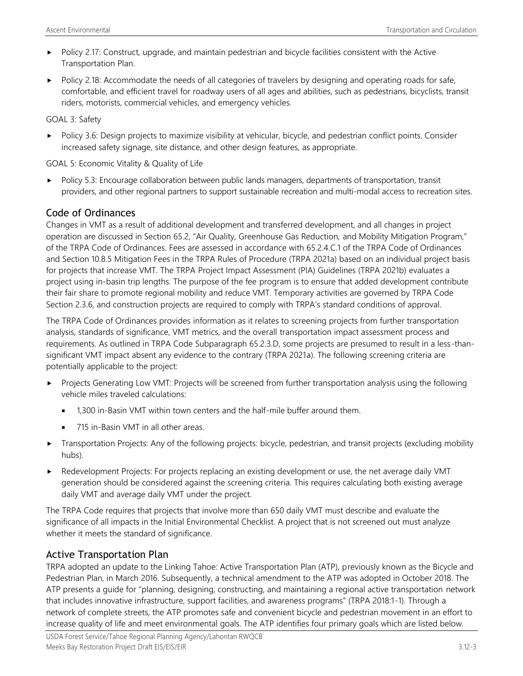- Policy 2.17: Construct, upgrade, and maintain pedestrian and bicycle facilities consistent with the Active Transportation Plan.
- Policy 2.18: Accommodate the needs of all categories of travelers by designing and operating roads for safe, comfortable, and efficient travel for roadway users of all ages and abilities, such as pedestrians, bicyclists, transit riders, motorists, commercial vehicles, and emergency vehicles.

#### GOAL 3: Safety

 Policy 3.6: Design projects to maximize visibility at vehicular, bicycle, and pedestrian conflict points. Consider increased safety signage, site distance, and other design features, as appropriate.

GOAL 5: Economic Vitality & Quality of Life

 Policy 5.3: Encourage collaboration between public lands managers, departments of transportation, transit providers, and other regional partners to support sustainable recreation and multi-modal access to recreation sites.

### Code of Ordinances

Changes in VMT as a result of additional development and transferred development, and all changes in project operation are discussed in Section 65.2, "Air Quality, Greenhouse Gas Reduction, and Mobility Mitigation Program," of the TRPA Code of Ordinances. Fees are assessed in accordance with 65.2.4.C.1 of the TRPA Code of Ordinances and Section 10.8.5 Mitigation Fees in the TRPA Rules of Procedure (TRPA 2021a) based on an individual project basis for projects that increase VMT. The TRPA Project Impact Assessment (PIA) Guidelines (TRPA 2021b) evaluates a project using in-basin trip lengths. The purpose of the fee program is to ensure that added development contribute their fair share to promote regional mobility and reduce VMT. Temporary activities are governed by TRPA Code Section 2.3.6, and construction projects are required to comply with TRPA's standard conditions of approval.

The TRPA Code of Ordinances provides information as it relates to screening projects from further transportation analysis, standards of significance, VMT metrics, and the overall transportation impact assessment process and requirements. As outlined in TRPA Code Subparagraph 65.2.3.D, some projects are presumed to result in a less-thansignificant VMT impact absent any evidence to the contrary (TRPA 2021a). The following screening criteria are potentially applicable to the project:

- Projects Generating Low VMT: Projects will be screened from further transportation analysis using the following vehicle miles traveled calculations:
	- 1,300 in-Basin VMT within town centers and the half-mile buffer around them.
	- 715 in-Basin VMT in all other areas.
- Transportation Projects: Any of the following projects: bicycle, pedestrian, and transit projects (excluding mobility hubs).
- Redevelopment Projects: For projects replacing an existing development or use, the net average daily VMT generation should be considered against the screening criteria. This requires calculating both existing average daily VMT and average daily VMT under the project.

The TRPA Code requires that projects that involve more than 650 daily VMT must describe and evaluate the significance of all impacts in the Initial Environmental Checklist. A project that is not screened out must analyze whether it meets the standard of significance.

## Active Transportation Plan

TRPA adopted an update to the Linking Tahoe: Active Transportation Plan (ATP), previously known as the Bicycle and Pedestrian Plan, in March 2016. Subsequently, a technical amendment to the ATP was adopted in October 2018. The ATP presents a guide for "planning, designing, constructing, and maintaining a regional active transportation network that includes innovative infrastructure, support facilities, and awareness programs" (TRPA 2018:1-1). Through a network of complete streets, the ATP promotes safe and convenient bicycle and pedestrian movement in an effort to increase quality of life and meet environmental goals. The ATP identifies four primary goals which are listed below.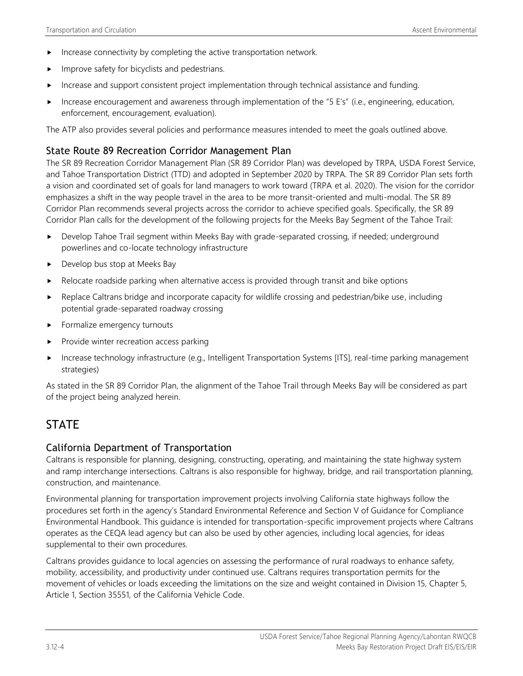- Increase connectivity by completing the active transportation network.
- Improve safety for bicyclists and pedestrians.
- Increase and support consistent project implementation through technical assistance and funding.
- Increase encouragement and awareness through implementation of the "5 E's" (i.e., engineering, education, enforcement, encouragement, evaluation).

The ATP also provides several policies and performance measures intended to meet the goals outlined above.

### State Route 89 Recreation Corridor Management Plan

The SR 89 Recreation Corridor Management Plan (SR 89 Corridor Plan) was developed by TRPA, USDA Forest Service, and Tahoe Transportation District (TTD) and adopted in September 2020 by TRPA. The SR 89 Corridor Plan sets forth a vision and coordinated set of goals for land managers to work toward (TRPA et al. 2020). The vision for the corridor emphasizes a shift in the way people travel in the area to be more transit-oriented and multi-modal. The SR 89 Corridor Plan recommends several projects across the corridor to achieve specified goals. Specifically, the SR 89 Corridor Plan calls for the development of the following projects for the Meeks Bay Segment of the Tahoe Trail:

- Develop Tahoe Trail segment within Meeks Bay with grade-separated crossing, if needed; underground powerlines and co-locate technology infrastructure
- ▶ Develop bus stop at Meeks Bay
- Relocate roadside parking when alternative access is provided through transit and bike options
- **EXECUTE:** Replace Caltrans bridge and incorporate capacity for wildlife crossing and pedestrian/bike use, including potential grade-separated roadway crossing
- Formalize emergency turnouts
- $\blacktriangleright$  Provide winter recreation access parking
- Increase technology infrastructure (e.g., Intelligent Transportation Systems [ITS], real-time parking management strategies)

As stated in the SR 89 Corridor Plan, the alignment of the Tahoe Trail through Meeks Bay will be considered as part of the project being analyzed herein.

## **STATE**

#### California Department of Transportation

Caltrans is responsible for planning, designing, constructing, operating, and maintaining the state highway system and ramp interchange intersections. Caltrans is also responsible for highway, bridge, and rail transportation planning, construction, and maintenance.

Environmental planning for transportation improvement projects involving California state highways follow the procedures set forth in the agency's Standard Environmental Reference and Section V of Guidance for Compliance Environmental Handbook. This guidance is intended for transportation-specific improvement projects where Caltrans operates as the CEQA lead agency but can also be used by other agencies, including local agencies, for ideas supplemental to their own procedures.

Caltrans provides guidance to local agencies on assessing the performance of rural roadways to enhance safety, mobility, accessibility, and productivity under continued use. Caltrans requires transportation permits for the movement of vehicles or loads exceeding the limitations on the size and weight contained in Division 15, Chapter 5, Article 1, Section 35551, of the California Vehicle Code.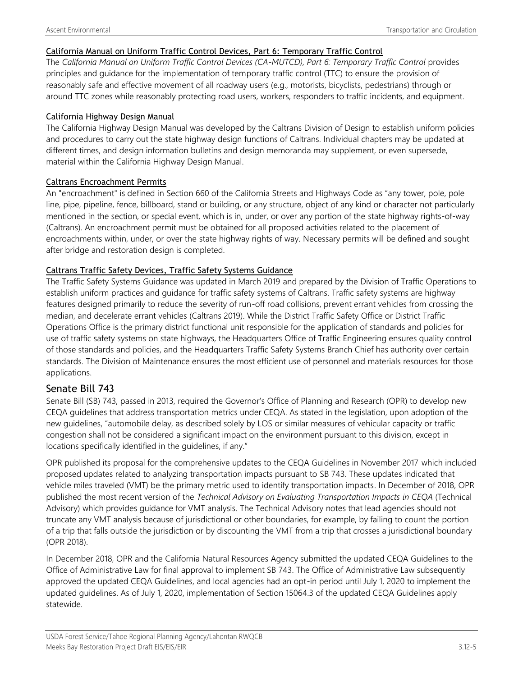#### California Manual on Uniform Traffic Control Devices, Part 6: Temporary Traffic Control

The California Manual on Uniform Traffic Control Devices (CA-MUTCD), Part 6: Temporary Traffic Control provides principles and guidance for the implementation of temporary traffic control (TTC) to ensure the provision of reasonably safe and effective movement of all roadway users (e.g., motorists, bicyclists, pedestrians) through or around TTC zones while reasonably protecting road users, workers, responders to traffic incidents, and equipment.

#### California Highway Design Manual

The California Highway Design Manual was developed by the Caltrans Division of Design to establish uniform policies and procedures to carry out the state highway design functions of Caltrans. Individual chapters may be updated at different times, and design information bulletins and design memoranda may supplement, or even supersede, material within the California Highway Design Manual.

#### Caltrans Encroachment Permits

An "encroachment" is defined in Section 660 of the California Streets and Highways Code as "any tower, pole, pole line, pipe, pipeline, fence, billboard, stand or building, or any structure, object of any kind or character not particularly mentioned in the section, or special event, which is in, under, or over any portion of the state highway rights-of-way (Caltrans). An encroachment permit must be obtained for all proposed activities related to the placement of encroachments within, under, or over the state highway rights of way. Necessary permits will be defined and sought after bridge and restoration design is completed.

#### Caltrans Traffic Safety Devices, Traffic Safety Systems Guidance

The Traffic Safety Systems Guidance was updated in March 2019 and prepared by the Division of Traffic Operations to establish uniform practices and guidance for traffic safety systems of Caltrans. Traffic safety systems are highway features designed primarily to reduce the severity of run-off road collisions, prevent errant vehicles from crossing the median, and decelerate errant vehicles (Caltrans 2019). While the District Traffic Safety Office or District Traffic Operations Office is the primary district functional unit responsible for the application of standards and policies for use of traffic safety systems on state highways, the Headquarters Office of Traffic Engineering ensures quality control of those standards and policies, and the Headquarters Traffic Safety Systems Branch Chief has authority over certain standards. The Division of Maintenance ensures the most efficient use of personnel and materials resources for those applications.

## Senate Bill 743

Senate Bill (SB) 743, passed in 2013, required the Governor's Office of Planning and Research (OPR) to develop new CEQA guidelines that address transportation metrics under CEQA. As stated in the legislation, upon adoption of the new guidelines, "automobile delay, as described solely by LOS or similar measures of vehicular capacity or traffic congestion shall not be considered a significant impact on the environment pursuant to this division, except in locations specifically identified in the guidelines, if any."

OPR published its proposal for the comprehensive updates to the CEQA Guidelines in November 2017 which included proposed updates related to analyzing transportation impacts pursuant to SB 743. These updates indicated that vehicle miles traveled (VMT) be the primary metric used to identify transportation impacts. In December of 2018, OPR published the most recent version of the *Technical Advisory on Evaluating Transportation Impacts in CEQA* (Technical Advisory) which provides guidance for VMT analysis. The Technical Advisory notes that lead agencies should not truncate any VMT analysis because of jurisdictional or other boundaries, for example, by failing to count the portion of a trip that falls outside the jurisdiction or by discounting the VMT from a trip that crosses a jurisdictional boundary (OPR 2018).

In December 2018, OPR and the California Natural Resources Agency submitted the updated CEQA Guidelines to the Office of Administrative Law for final approval to implement SB 743. The Office of Administrative Law subsequently approved the updated CEQA Guidelines, and local agencies had an opt-in period until July 1, 2020 to implement the updated guidelines. As of July 1, 2020, implementation of Section 15064.3 of the updated CEQA Guidelines apply statewide.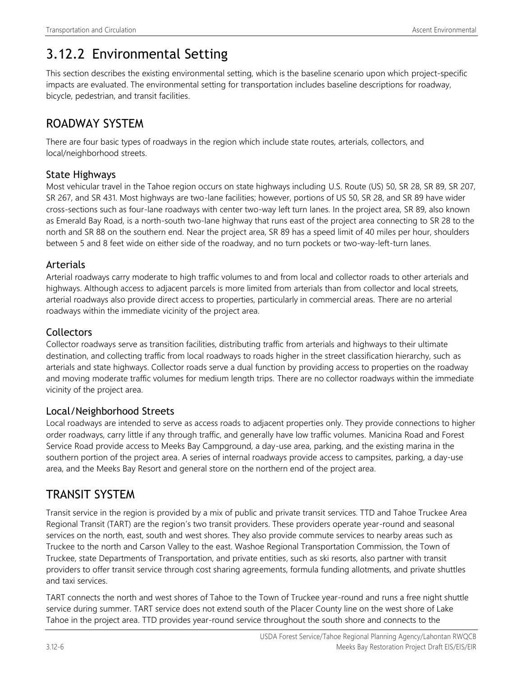# 3.12.2 Environmental Setting

This section describes the existing environmental setting, which is the baseline scenario upon which project-specific impacts are evaluated. The environmental setting for transportation includes baseline descriptions for roadway, bicycle, pedestrian, and transit facilities.

## ROADWAY SYSTEM

There are four basic types of roadways in the region which include state routes, arterials, collectors, and local/neighborhood streets.

## State Highways

Most vehicular travel in the Tahoe region occurs on state highways including U.S. Route (US) 50, SR 28, SR 89, SR 207, SR 267, and SR 431. Most highways are two-lane facilities; however, portions of US 50, SR 28, and SR 89 have wider cross-sections such as four-lane roadways with center two-way left turn lanes. In the project area, SR 89, also known as Emerald Bay Road, is a north-south two-lane highway that runs east of the project area connecting to SR 28 to the north and SR 88 on the southern end. Near the project area, SR 89 has a speed limit of 40 miles per hour, shoulders between 5 and 8 feet wide on either side of the roadway, and no turn pockets or two-way-left-turn lanes.

## Arterials

Arterial roadways carry moderate to high traffic volumes to and from local and collector roads to other arterials and highways. Although access to adjacent parcels is more limited from arterials than from collector and local streets, arterial roadways also provide direct access to properties, particularly in commercial areas. There are no arterial roadways within the immediate vicinity of the project area.

## **Collectors**

Collector roadways serve as transition facilities, distributing traffic from arterials and highways to their ultimate destination, and collecting traffic from local roadways to roads higher in the street classification hierarchy, such as arterials and state highways. Collector roads serve a dual function by providing access to properties on the roadway and moving moderate traffic volumes for medium length trips. There are no collector roadways within the immediate vicinity of the project area.

## Local/Neighborhood Streets

Local roadways are intended to serve as access roads to adjacent properties only. They provide connections to higher order roadways, carry little if any through traffic, and generally have low traffic volumes. Manicina Road and Forest Service Road provide access to Meeks Bay Campground, a day-use area, parking, and the existing marina in the southern portion of the project area. A series of internal roadways provide access to campsites, parking, a day-use area, and the Meeks Bay Resort and general store on the northern end of the project area.

## TRANSIT SYSTEM

Transit service in the region is provided by a mix of public and private transit services. TTD and Tahoe Truckee Area Regional Transit (TART) are the region's two transit providers. These providers operate year-round and seasonal services on the north, east, south and west shores. They also provide commute services to nearby areas such as Truckee to the north and Carson Valley to the east. Washoe Regional Transportation Commission, the Town of Truckee, state Departments of Transportation, and private entities, such as ski resorts, also partner with transit providers to offer transit service through cost sharing agreements, formula funding allotments, and private shuttles and taxi services.

TART connects the north and west shores of Tahoe to the Town of Truckee year-round and runs a free night shuttle service during summer. TART service does not extend south of the Placer County line on the west shore of Lake Tahoe in the project area. TTD provides year-round service throughout the south shore and connects to the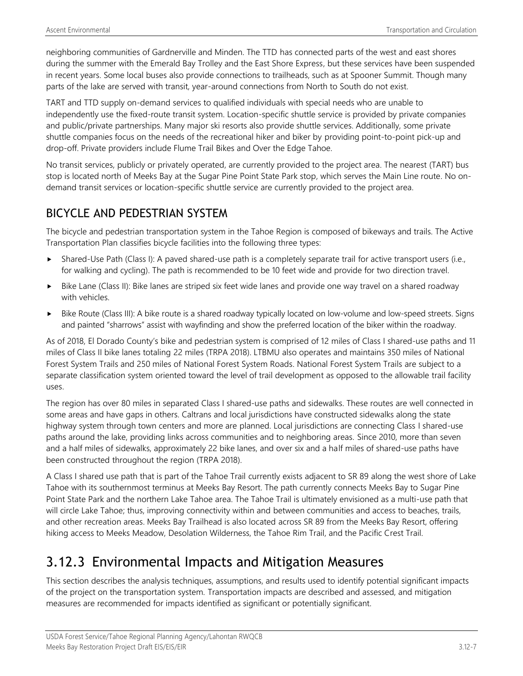neighboring communities of Gardnerville and Minden. The TTD has connected parts of the west and east shores during the summer with the Emerald Bay Trolley and the East Shore Express, but these services have been suspended in recent years. Some local buses also provide connections to trailheads, such as at Spooner Summit. Though many parts of the lake are served with transit, year-around connections from North to South do not exist.

TART and TTD supply on-demand services to qualified individuals with special needs who are unable to independently use the fixed-route transit system. Location-specific shuttle service is provided by private companies and public/private partnerships. Many major ski resorts also provide shuttle services. Additionally, some private shuttle companies focus on the needs of the recreational hiker and biker by providing point-to-point pick-up and drop-off. Private providers include Flume Trail Bikes and Over the Edge Tahoe.

No transit services, publicly or privately operated, are currently provided to the project area. The nearest (TART) bus stop is located north of Meeks Bay at the Sugar Pine Point State Park stop, which serves the Main Line route. No ondemand transit services or location-specific shuttle service are currently provided to the project area.

## BICYCLE AND PEDESTRIAN SYSTEM

The bicycle and pedestrian transportation system in the Tahoe Region is composed of bikeways and trails. The Active Transportation Plan classifies bicycle facilities into the following three types:

- Shared-Use Path (Class I): A paved shared-use path is a completely separate trail for active transport users (i.e., for walking and cycling). The path is recommended to be 10 feet wide and provide for two direction travel.
- Bike Lane (Class II): Bike lanes are striped six feet wide lanes and provide one way travel on a shared roadway with vehicles.
- Bike Route (Class III): A bike route is a shared roadway typically located on low-volume and low-speed streets. Signs and painted "sharrows" assist with wayfinding and show the preferred location of the biker within the roadway.

As of 2018, El Dorado County's bike and pedestrian system is comprised of 12 miles of Class I shared-use paths and 11 miles of Class II bike lanes totaling 22 miles (TRPA 2018). LTBMU also operates and maintains 350 miles of National Forest System Trails and 250 miles of National Forest System Roads. National Forest System Trails are subject to a separate classification system oriented toward the level of trail development as opposed to the allowable trail facility uses.

The region has over 80 miles in separated Class I shared-use paths and sidewalks. These routes are well connected in some areas and have gaps in others. Caltrans and local jurisdictions have constructed sidewalks along the state highway system through town centers and more are planned. Local jurisdictions are connecting Class I shared-use paths around the lake, providing links across communities and to neighboring areas. Since 2010, more than seven and a half miles of sidewalks, approximately 22 bike lanes, and over six and a half miles of shared-use paths have been constructed throughout the region (TRPA 2018).

A Class I shared use path that is part of the Tahoe Trail currently exists adjacent to SR 89 along the west shore of Lake Tahoe with its southernmost terminus at Meeks Bay Resort. The path currently connects Meeks Bay to Sugar Pine Point State Park and the northern Lake Tahoe area. The Tahoe Trail is ultimately envisioned as a multi-use path that will circle Lake Tahoe; thus, improving connectivity within and between communities and access to beaches, trails, and other recreation areas. Meeks Bay Trailhead is also located across SR 89 from the Meeks Bay Resort, offering hiking access to Meeks Meadow, Desolation Wilderness, the Tahoe Rim Trail, and the Pacific Crest Trail.

# 3.12.3 Environmental Impacts and Mitigation Measures

This section describes the analysis techniques, assumptions, and results used to identify potential significant impacts of the project on the transportation system. Transportation impacts are described and assessed, and mitigation measures are recommended for impacts identified as significant or potentially significant.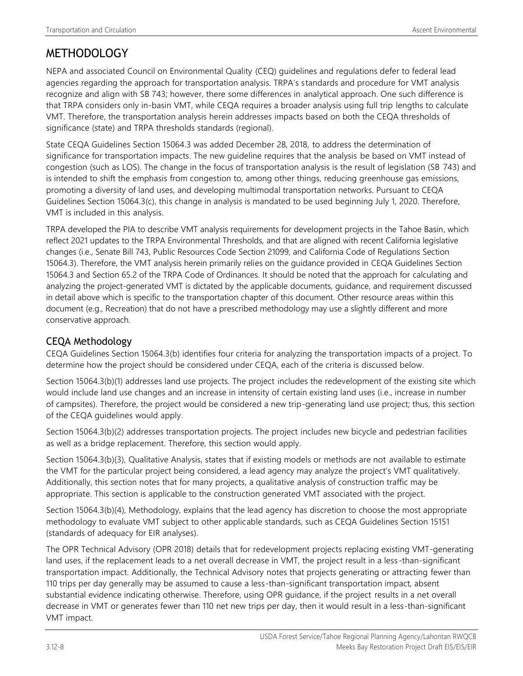## **METHODOLOGY**

NEPA and associated Council on Environmental Quality (CEQ) guidelines and regulations defer to federal lead agencies regarding the approach for transportation analysis. TRPA's standards and procedure for VMT analysis recognize and align with SB 743; however, there some differences in analytical approach. One such difference is that TRPA considers only in-basin VMT, while CEQA requires a broader analysis using full trip lengths to calculate VMT. Therefore, the transportation analysis herein addresses impacts based on both the CEQA thresholds of significance (state) and TRPA thresholds standards (regional).

State CEQA Guidelines Section 15064.3 was added December 28, 2018, to address the determination of significance for transportation impacts. The new guideline requires that the analysis be based on VMT instead of congestion (such as LOS). The change in the focus of transportation analysis is the result of legislation (SB 743) and is intended to shift the emphasis from congestion to, among other things, reducing greenhouse gas emissions, promoting a diversity of land uses, and developing multimodal transportation networks. Pursuant to CEQA Guidelines Section 15064.3(c), this change in analysis is mandated to be used beginning July 1, 2020. Therefore, VMT is included in this analysis.

TRPA developed the PIA to describe VMT analysis requirements for development projects in the Tahoe Basin, which reflect 2021 updates to the TRPA Environmental Thresholds, and that are aligned with recent California legislative changes (i.e., Senate Bill 743, Public Resources Code Section 21099, and California Code of Regulations Section 15064.3). Therefore, the VMT analysis herein primarily relies on the guidance provided in CEQA Guidelines Section 15064.3 and Section 65.2 of the TRPA Code of Ordinances. It should be noted that the approach for calculating and analyzing the project-generated VMT is dictated by the applicable documents, guidance, and requirement discussed in detail above which is specific to the transportation chapter of this document. Other resource areas within this document (e.g., Recreation) that do not have a prescribed methodology may use a slightly different and more conservative approach.

## CEQA Methodology

CEQA Guidelines Section 15064.3(b) identifies four criteria for analyzing the transportation impacts of a project. To determine how the project should be considered under CEQA, each of the criteria is discussed below.

Section 15064.3(b)(1) addresses land use projects. The project includes the redevelopment of the existing site which would include land use changes and an increase in intensity of certain existing land uses (i.e., increase in number of campsites). Therefore, the project would be considered a new trip-generating land use project; thus, this section of the CEQA guidelines would apply.

Section 15064.3(b)(2) addresses transportation projects. The project includes new bicycle and pedestrian facilities as well as a bridge replacement. Therefore, this section would apply.

Section 15064.3(b)(3), Qualitative Analysis, states that if existing models or methods are not available to estimate the VMT for the particular project being considered, a lead agency may analyze the project's VMT qualitatively. Additionally, this section notes that for many projects, a qualitative analysis of construction traffic may be appropriate. This section is applicable to the construction generated VMT associated with the project.

Section 15064.3(b)(4), Methodology, explains that the lead agency has discretion to choose the most appropriate methodology to evaluate VMT subject to other applicable standards, such as CEQA Guidelines Section 15151 (standards of adequacy for EIR analyses).

The OPR Technical Advisory (OPR 2018) details that for redevelopment projects replacing existing VMT-generating land uses, if the replacement leads to a net overall decrease in VMT, the project result in a less -than-significant transportation impact. Additionally, the Technical Advisory notes that projects generating or attracting fewer than 110 trips per day generally may be assumed to cause a less-than-significant transportation impact, absent substantial evidence indicating otherwise. Therefore, using OPR guidance, if the project results in a net overall decrease in VMT or generates fewer than 110 net new trips per day, then it would result in a less-than-significant VMT impact.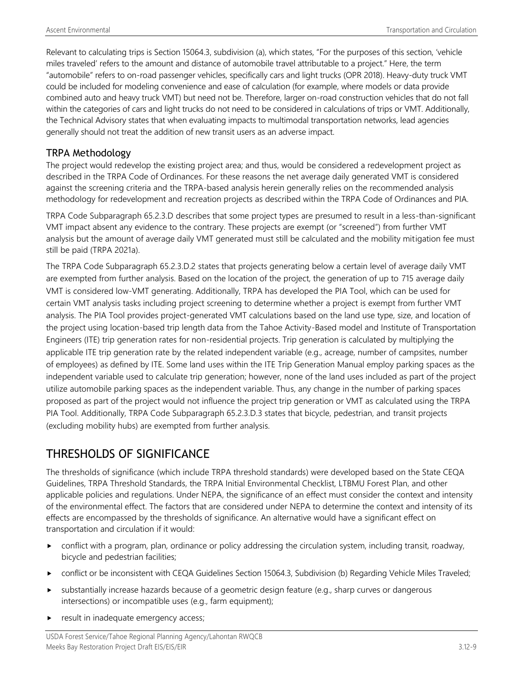Relevant to calculating trips is Section 15064.3, subdivision (a), which states, "For the purposes of this section, 'vehicle miles traveled' refers to the amount and distance of automobile travel attributable to a project." Here, the term "automobile" refers to on-road passenger vehicles, specifically cars and light trucks (OPR 2018). Heavy-duty truck VMT could be included for modeling convenience and ease of calculation (for example, where models or data provide combined auto and heavy truck VMT) but need not be. Therefore, larger on-road construction vehicles that do not fall within the categories of cars and light trucks do not need to be considered in calculations of trips or VMT. Additionally, the Technical Advisory states that when evaluating impacts to multimodal transportation networks, lead agencies generally should not treat the addition of new transit users as an adverse impact.

### TRPA Methodology

The project would redevelop the existing project area; and thus, would be considered a redevelopment project as described in the TRPA Code of Ordinances. For these reasons the net average daily generated VMT is considered against the screening criteria and the TRPA-based analysis herein generally relies on the recommended analysis methodology for redevelopment and recreation projects as described within the TRPA Code of Ordinances and PIA.

TRPA Code Subparagraph 65.2.3.D describes that some project types are presumed to result in a less-than-significant VMT impact absent any evidence to the contrary. These projects are exempt (or "screened") from further VMT analysis but the amount of average daily VMT generated must still be calculated and the mobility mitigation fee must still be paid (TRPA 2021a).

The TRPA Code Subparagraph 65.2.3.D.2 states that projects generating below a certain level of average daily VMT are exempted from further analysis. Based on the location of the project, the generation of up to 715 average daily VMT is considered low-VMT generating. Additionally, TRPA has developed the PIA Tool, which can be used for certain VMT analysis tasks including project screening to determine whether a project is exempt from further VMT analysis. The PIA Tool provides project-generated VMT calculations based on the land use type, size, and location of the project using location-based trip length data from the Tahoe Activity-Based model and Institute of Transportation Engineers (ITE) trip generation rates for non-residential projects. Trip generation is calculated by multiplying the applicable ITE trip generation rate by the related independent variable (e.g., acreage, number of campsites, number of employees) as defined by ITE. Some land uses within the ITE Trip Generation Manual employ parking spaces as the independent variable used to calculate trip generation; however, none of the land uses included as part of the project utilize automobile parking spaces as the independent variable. Thus, any change in the number of parking spaces proposed as part of the project would not influence the project trip generation or VMT as calculated using the TRPA PIA Tool. Additionally, TRPA Code Subparagraph 65.2.3.D.3 states that bicycle, pedestrian, and transit projects (excluding mobility hubs) are exempted from further analysis.

## THRESHOLDS OF SIGNIFICANCE

The thresholds of significance (which include TRPA threshold standards) were developed based on the State CEQA Guidelines, TRPA Threshold Standards, the TRPA Initial Environmental Checklist, LTBMU Forest Plan, and other applicable policies and regulations. Under NEPA, the significance of an effect must consider the context and intensity of the environmental effect. The factors that are considered under NEPA to determine the context and intensity of its effects are encompassed by the thresholds of significance. An alternative would have a significant effect on transportation and circulation if it would:

- conflict with a program, plan, ordinance or policy addressing the circulation system, including transit, roadway, bicycle and pedestrian facilities;
- conflict or be inconsistent with CEQA Guidelines Section 15064.3, Subdivision (b) Regarding Vehicle Miles Traveled;
- substantially increase hazards because of a geometric design feature (e.g., sharp curves or dangerous intersections) or incompatible uses (e.g., farm equipment);
- **P** result in inadequate emergency access;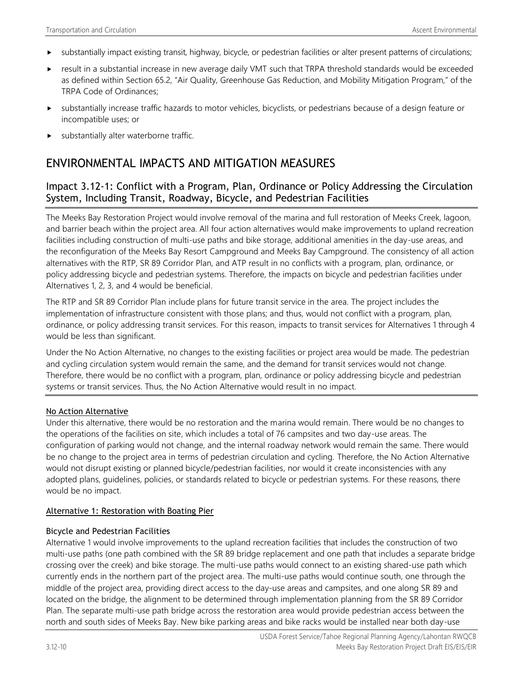- $\triangleright$  substantially impact existing transit, highway, bicycle, or pedestrian facilities or alter present patterns of circulations;
- result in a substantial increase in new average daily VMT such that TRPA threshold standards would be exceeded as defined within Section 65.2, "Air Quality, Greenhouse Gas Reduction, and Mobility Mitigation Program," of the TRPA Code of Ordinances;
- substantially increase traffic hazards to motor vehicles, bicyclists, or pedestrians because of a design feature or incompatible uses; or
- substantially alter waterborne traffic.

## ENVIRONMENTAL IMPACTS AND MITIGATION MEASURES

### Impact 3.12-1: Conflict with a Program, Plan, Ordinance or Policy Addressing the Circulation System, Including Transit, Roadway, Bicycle, and Pedestrian Facilities

The Meeks Bay Restoration Project would involve removal of the marina and full restoration of Meeks Creek, lagoon, and barrier beach within the project area. All four action alternatives would make improvements to upland recreation facilities including construction of multi-use paths and bike storage, additional amenities in the day-use areas, and the reconfiguration of the Meeks Bay Resort Campground and Meeks Bay Campground. The consistency of all action alternatives with the RTP, SR 89 Corridor Plan, and ATP result in no conflicts with a program, plan, ordinance, or policy addressing bicycle and pedestrian systems. Therefore, the impacts on bicycle and pedestrian facilities under Alternatives 1, 2, 3, and 4 would be beneficial.

The RTP and SR 89 Corridor Plan include plans for future transit service in the area. The project includes the implementation of infrastructure consistent with those plans; and thus, would not conflict with a program, plan, ordinance, or policy addressing transit services. For this reason, impacts to transit services for Alternatives 1 through 4 would be less than significant.

Under the No Action Alternative, no changes to the existing facilities or project area would be made. The pedestrian and cycling circulation system would remain the same, and the demand for transit services would not change. Therefore, there would be no conflict with a program, plan, ordinance or policy addressing bicycle and pedestrian systems or transit services. Thus, the No Action Alternative would result in no impact.

#### No Action Alternative

Under this alternative, there would be no restoration and the marina would remain. There would be no changes to the operations of the facilities on site, which includes a total of 76 campsites and two day-use areas. The configuration of parking would not change, and the internal roadway network would remain the same. There would be no change to the project area in terms of pedestrian circulation and cycling. Therefore, the No Action Alternative would not disrupt existing or planned bicycle/pedestrian facilities, nor would it create inconsistencies with any adopted plans, guidelines, policies, or standards related to bicycle or pedestrian systems. For these reasons, there would be no impact.

#### Alternative 1: Restoration with Boating Pier

#### Bicycle and Pedestrian Facilities

Alternative 1 would involve improvements to the upland recreation facilities that includes the construction of two multi-use paths (one path combined with the SR 89 bridge replacement and one path that includes a separate bridge crossing over the creek) and bike storage. The multi-use paths would connect to an existing shared-use path which currently ends in the northern part of the project area. The multi-use paths would continue south, one through the middle of the project area, providing direct access to the day-use areas and campsites, and one along SR 89 and located on the bridge, the alignment to be determined through implementation planning from the SR 89 Corridor Plan. The separate multi-use path bridge across the restoration area would provide pedestrian access between the north and south sides of Meeks Bay. New bike parking areas and bike racks would be installed near both day-use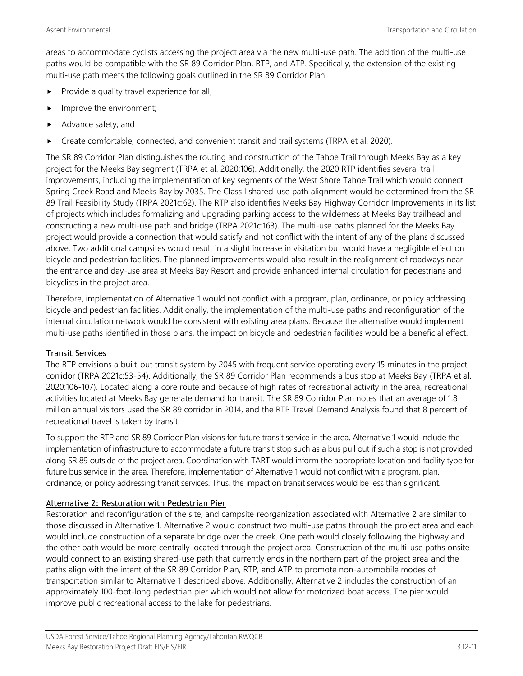areas to accommodate cyclists accessing the project area via the new multi-use path. The addition of the multi-use paths would be compatible with the SR 89 Corridor Plan, RTP, and ATP. Specifically, the extension of the existing multi-use path meets the following goals outlined in the SR 89 Corridor Plan:

- Provide a quality travel experience for all;
- Improve the environment;
- Advance safety; and
- Create comfortable, connected, and convenient transit and trail systems (TRPA et al. 2020).

The SR 89 Corridor Plan distinguishes the routing and construction of the Tahoe Trail through Meeks Bay as a key project for the Meeks Bay segment (TRPA et al. 2020:106). Additionally, the 2020 RTP identifies several trail improvements, including the implementation of key segments of the West Shore Tahoe Trail which would connect Spring Creek Road and Meeks Bay by 2035. The Class I shared-use path alignment would be determined from the SR 89 Trail Feasibility Study (TRPA 2021c:62). The RTP also identifies Meeks Bay Highway Corridor Improvements in its list of projects which includes formalizing and upgrading parking access to the wilderness at Meeks Bay trailhead and constructing a new multi-use path and bridge (TRPA 2021c:163). The multi-use paths planned for the Meeks Bay project would provide a connection that would satisfy and not conflict with the intent of any of the plans discussed above. Two additional campsites would result in a slight increase in visitation but would have a negligible effect on bicycle and pedestrian facilities. The planned improvements would also result in the realignment of roadways near the entrance and day-use area at Meeks Bay Resort and provide enhanced internal circulation for pedestrians and bicyclists in the project area.

Therefore, implementation of Alternative 1 would not conflict with a program, plan, ordinance, or policy addressing bicycle and pedestrian facilities. Additionally, the implementation of the multi-use paths and reconfiguration of the internal circulation network would be consistent with existing area plans. Because the alternative would implement multi-use paths identified in those plans, the impact on bicycle and pedestrian facilities would be a beneficial effect.

#### Transit Services

The RTP envisions a built-out transit system by 2045 with frequent service operating every 15 minutes in the project corridor (TRPA 2021c:53-54). Additionally, the SR 89 Corridor Plan recommends a bus stop at Meeks Bay (TRPA et al. 2020:106-107). Located along a core route and because of high rates of recreational activity in the area, recreational activities located at Meeks Bay generate demand for transit. The SR 89 Corridor Plan notes that an average of 1.8 million annual visitors used the SR 89 corridor in 2014, and the RTP Travel Demand Analysis found that 8 percent of recreational travel is taken by transit.

To support the RTP and SR 89 Corridor Plan visions for future transit service in the area, Alternative 1 would include the implementation of infrastructure to accommodate a future transit stop such as a bus pull out if such a stop is not provided along SR 89 outside of the project area. Coordination with TART would inform the appropriate location and facility type for future bus service in the area. Therefore, implementation of Alternative 1 would not conflict with a program, plan, ordinance, or policy addressing transit services. Thus, the impact on transit services would be less than significant.

#### Alternative 2: Restoration with Pedestrian Pier

Restoration and reconfiguration of the site, and campsite reorganization associated with Alternative 2 are similar to those discussed in Alternative 1. Alternative 2 would construct two multi-use paths through the project area and each would include construction of a separate bridge over the creek. One path would closely following the highway and the other path would be more centrally located through the project area. Construction of the multi-use paths onsite would connect to an existing shared-use path that currently ends in the northern part of the project area and the paths align with the intent of the SR 89 Corridor Plan, RTP, and ATP to promote non-automobile modes of transportation similar to Alternative 1 described above. Additionally, Alternative 2 includes the construction of an approximately 100-foot-long pedestrian pier which would not allow for motorized boat access. The pier would improve public recreational access to the lake for pedestrians.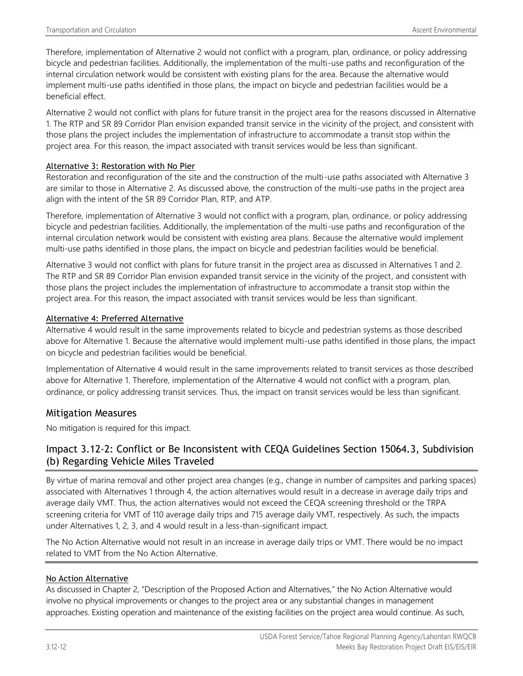Therefore, implementation of Alternative 2 would not conflict with a program, plan, ordinance, or policy addressing bicycle and pedestrian facilities. Additionally, the implementation of the multi-use paths and reconfiguration of the internal circulation network would be consistent with existing plans for the area. Because the alternative would implement multi-use paths identified in those plans, the impact on bicycle and pedestrian facilities would be a beneficial effect.

Alternative 2 would not conflict with plans for future transit in the project area for the reasons discussed in Alternative 1. The RTP and SR 89 Corridor Plan envision expanded transit service in the vicinity of the project, and consistent with those plans the project includes the implementation of infrastructure to accommodate a transit stop within the project area. For this reason, the impact associated with transit services would be less than significant.

#### Alternative 3: Restoration with No Pier

Restoration and reconfiguration of the site and the construction of the multi-use paths associated with Alternative 3 are similar to those in Alternative 2. As discussed above, the construction of the multi-use paths in the project area align with the intent of the SR 89 Corridor Plan, RTP, and ATP.

Therefore, implementation of Alternative 3 would not conflict with a program, plan, ordinance, or policy addressing bicycle and pedestrian facilities. Additionally, the implementation of the multi-use paths and reconfiguration of the internal circulation network would be consistent with existing area plans. Because the alternative would implement multi-use paths identified in those plans, the impact on bicycle and pedestrian facilities would be beneficial.

Alternative 3 would not conflict with plans for future transit in the project area as discussed in Alternatives 1 and 2. The RTP and SR 89 Corridor Plan envision expanded transit service in the vicinity of the project, and consistent with those plans the project includes the implementation of infrastructure to accommodate a transit stop within the project area. For this reason, the impact associated with transit services would be less than significant.

#### Alternative 4: Preferred Alternative

Alternative 4 would result in the same improvements related to bicycle and pedestrian systems as those described above for Alternative 1. Because the alternative would implement multi-use paths identified in those plans, the impact on bicycle and pedestrian facilities would be beneficial.

Implementation of Alternative 4 would result in the same improvements related to transit services as those described above for Alternative 1. Therefore, implementation of the Alternative 4 would not conflict with a program, plan, ordinance, or policy addressing transit services. Thus, the impact on transit services would be less than significant.

#### Mitigation Measures

No mitigation is required for this impact.

## Impact 3.12-2: Conflict or Be Inconsistent with CEQA Guidelines Section 15064.3, Subdivision (b) Regarding Vehicle Miles Traveled

By virtue of marina removal and other project area changes (e.g., change in number of campsites and parking spaces) associated with Alternatives 1 through 4, the action alternatives would result in a decrease in average daily trips and average daily VMT. Thus, the action alternatives would not exceed the CEQA screening threshold or the TRPA screening criteria for VMT of 110 average daily trips and 715 average daily VMT, respectively. As such, the impacts under Alternatives 1, 2, 3, and 4 would result in a less-than-significant impact.

The No Action Alternative would not result in an increase in average daily trips or VMT. There would be no impact related to VMT from the No Action Alternative.

#### No Action Alternative

As discussed in Chapter 2, "Description of the Proposed Action and Alternatives," the No Action Alternative would involve no physical improvements or changes to the project area or any substantial changes in management approaches. Existing operation and maintenance of the existing facilities on the project area would continue. As such,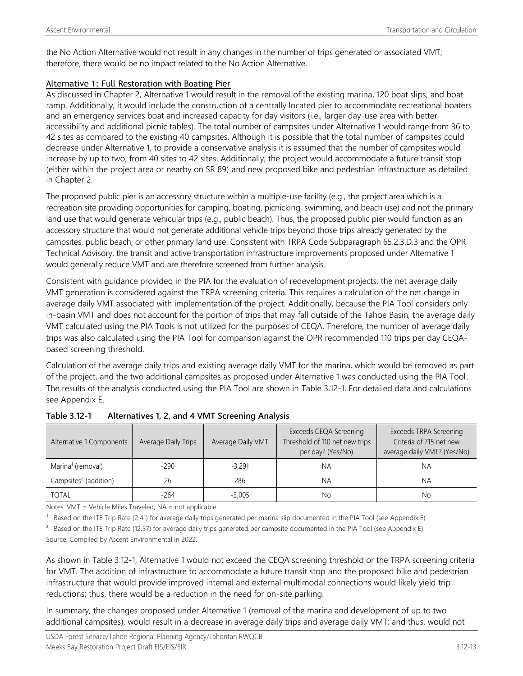the No Action Alternative would not result in any changes in the number of trips generated or associated VMT; therefore, there would be no impact related to the No Action Alternative.

#### Alternative 1: Full Restoration with Boating Pier

As discussed in Chapter 2, Alternative 1 would result in the removal of the existing marina, 120 boat slips, and boat ramp. Additionally, it would include the construction of a centrally located pier to accommodate recreational boaters and an emergency services boat and increased capacity for day visitors (i.e., larger day-use area with better accessibility and additional picnic tables). The total number of campsites under Alternative 1 would range from 36 to 42 sites as compared to the existing 40 campsites. Although it is possible that the total number of campsites could decrease under Alternative 1, to provide a conservative analysis it is assumed that the number of campsites would increase by up to two, from 40 sites to 42 sites. Additionally, the project would accommodate a future transit stop (either within the project area or nearby on SR 89) and new proposed bike and pedestrian infrastructure as detailed in Chapter 2.

The proposed public pier is an accessory structure within a multiple-use facility (e.g., the project area which is a recreation site providing opportunities for camping, boating, picnicking, swimming, and beach use) and not the primary land use that would generate vehicular trips (e.g., public beach). Thus, the proposed public pier would function as an accessory structure that would not generate additional vehicle trips beyond those trips already generated by the campsites, public beach, or other primary land use. Consistent with TRPA Code Subparagraph 65.2.3.D.3 and the OPR Technical Advisory, the transit and active transportation infrastructure improvements proposed under Alternative 1 would generally reduce VMT and are therefore screened from further analysis.

Consistent with guidance provided in the PIA for the evaluation of redevelopment projects, the net average daily VMT generation is considered against the TRPA screening criteria. This requires a calculation of the net change in average daily VMT associated with implementation of the project. Additionally, because the PIA Tool considers only in-basin VMT and does not account for the portion of trips that may fall outside of the Tahoe Basin, the average daily VMT calculated using the PIA Tools is not utilized for the purposes of CEQA. Therefore, the number of average daily trips was also calculated using the PIA Tool for comparison against the OPR recommended 110 trips per day CEQAbased screening threshold.

Calculation of the average daily trips and existing average daily VMT for the marina, which would be removed as part of the project, and the two additional campsites as proposed under Alternative 1 was conducted using the PIA Tool. The results of the analysis conducted using the PIA Tool are shown in Table 3.12-1. For detailed data and calculations see Appendix E.

| Alternative 1 Components          | Average Daily Trips | Average Daily VMT | Exceeds CEQA Screening<br>Threshold of 110 net new trips<br>per day? (Yes/No) | Exceeds TRPA Screening<br>Criteria of 715 net new<br>average daily VMT? (Yes/No) |
|-----------------------------------|---------------------|-------------------|-------------------------------------------------------------------------------|----------------------------------------------------------------------------------|
| Marina <sup>1</sup> (removal)     | $-290$              | $-3.291$          | <b>NA</b>                                                                     | NA                                                                               |
| Campsites <sup>2</sup> (addition) | 26                  | 286               | <b>NA</b>                                                                     | NA                                                                               |
| <b>TOTAL</b>                      | $-264$              | $-3.005$          | No                                                                            | No                                                                               |

**Table 3.12-1 Alternatives 1, 2, and 4 VMT Screening Analysis**

Notes: VMT = Vehicle Miles Traveled, NA = not applicable

 $1$  Based on the ITE Trip Rate (2.41) for average daily trips generated per marina slip documented in the PIA Tool (see Appendix E)

<sup>2</sup> Based on the ITE Trip Rate (12.57) for average daily trips generated per campsite documented in the PIA Tool (see Appendix E)

Source: Compiled by Ascent Environmental in 2022.

As shown in Table 3.12-1, Alternative 1 would not exceed the CEQA screening threshold or the TRPA screening criteria for VMT. The addition of infrastructure to accommodate a future transit stop and the proposed bike and pedestrian infrastructure that would provide improved internal and external multimodal connections would likely yield trip reductions; thus, there would be a reduction in the need for on-site parking.

In summary, the changes proposed under Alternative 1 (removal of the marina and development of up to two additional campsites), would result in a decrease in average daily trips and average daily VMT; and thus, would not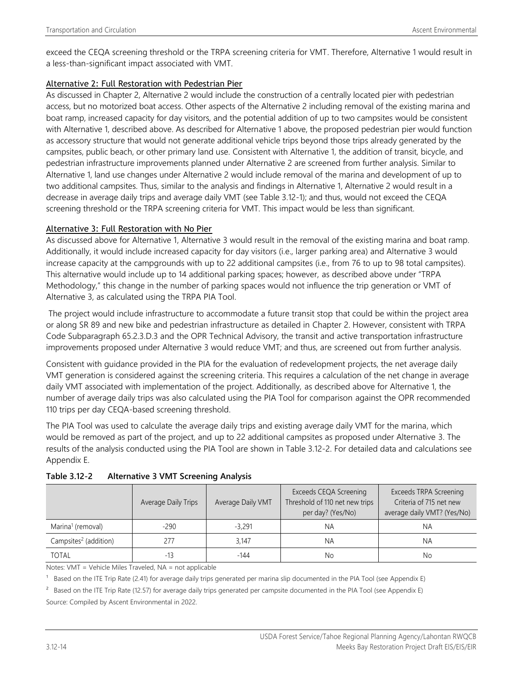exceed the CEQA screening threshold or the TRPA screening criteria for VMT. Therefore, Alternative 1 would result in a less-than-significant impact associated with VMT.

#### Alternative 2: Full Restoration with Pedestrian Pier

As discussed in Chapter 2, Alternative 2 would include the construction of a centrally located pier with pedestrian access, but no motorized boat access. Other aspects of the Alternative 2 including removal of the existing marina and boat ramp, increased capacity for day visitors, and the potential addition of up to two campsites would be consistent with Alternative 1, described above. As described for Alternative 1 above, the proposed pedestrian pier would function as accessory structure that would not generate additional vehicle trips beyond those trips already generated by the campsites, public beach, or other primary land use. Consistent with Alternative 1, the addition of transit, bicycle, and pedestrian infrastructure improvements planned under Alternative 2 are screened from further analysis. Similar to Alternative 1, land use changes under Alternative 2 would include removal of the marina and development of up to two additional campsites. Thus, similar to the analysis and findings in Alternative 1, Alternative 2 would result in a decrease in average daily trips and average daily VMT (see Table 3.12-1); and thus, would not exceed the CEQA screening threshold or the TRPA screening criteria for VMT. This impact would be less than significant.

#### Alternative 3: Full Restoration with No Pier

As discussed above for Alternative 1, Alternative 3 would result in the removal of the existing marina and boat ramp. Additionally, it would include increased capacity for day visitors (i.e., larger parking area) and Alternative 3 would increase capacity at the campgrounds with up to 22 additional campsites (i.e., from 76 to up to 98 total campsites). This alternative would include up to 14 additional parking spaces; however, as described above under "TRPA Methodology," this change in the number of parking spaces would not influence the trip generation or VMT of Alternative 3, as calculated using the TRPA PIA Tool.

The project would include infrastructure to accommodate a future transit stop that could be within the project area or along SR 89 and new bike and pedestrian infrastructure as detailed in Chapter 2. However, consistent with TRPA Code Subparagraph 65.2.3.D.3 and the OPR Technical Advisory, the transit and active transportation infrastructure improvements proposed under Alternative 3 would reduce VMT; and thus, are screened out from further analysis.

Consistent with guidance provided in the PIA for the evaluation of redevelopment projects, the net average daily VMT generation is considered against the screening criteria. This requires a calculation of the net change in average daily VMT associated with implementation of the project. Additionally, as described above for Alternative 1, the number of average daily trips was also calculated using the PIA Tool for comparison against the OPR recommended 110 trips per day CEQA-based screening threshold.

The PIA Tool was used to calculate the average daily trips and existing average daily VMT for the marina, which would be removed as part of the project, and up to 22 additional campsites as proposed under Alternative 3. The results of the analysis conducted using the PIA Tool are shown in Table 3.12-2. For detailed data and calculations see Appendix E.

|                                   | <b>Average Daily Trips</b> | Average Daily VMT | Exceeds CEQA Screening<br>Threshold of 110 net new trips<br>per day? (Yes/No) | Exceeds TRPA Screening<br>Criteria of 715 net new<br>average daily VMT? (Yes/No) |
|-----------------------------------|----------------------------|-------------------|-------------------------------------------------------------------------------|----------------------------------------------------------------------------------|
| Marina <sup>1</sup> (removal)     | $-290$                     | $-3.291$          | ΝA                                                                            | ΝA                                                                               |
| Campsites <sup>2</sup> (addition) | 277                        | 3.147             | ΝA                                                                            | NА                                                                               |
| <b>TOTAL</b>                      | $-13$                      | -144              | Nο                                                                            | No.                                                                              |

**Table 3.12-2 Alternative 3 VMT Screening Analysis**

Notes: VMT = Vehicle Miles Traveled, NA = not applicable

 $^1$  Based on the ITE Trip Rate (2.41) for average daily trips generated per marina slip documented in the PIA Tool (see Appendix E)

<sup>2</sup> Based on the ITE Trip Rate (12.57) for average daily trips generated per campsite documented in the PIA Tool (see Appendix E)

Source: Compiled by Ascent Environmental in 2022.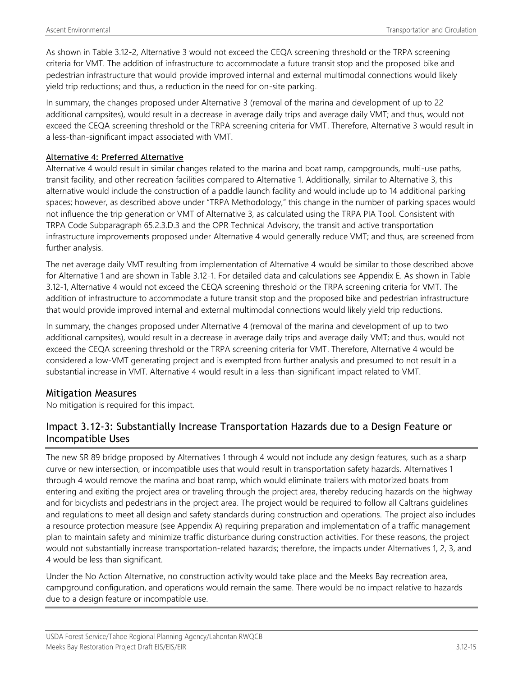As shown in Table 3.12-2, Alternative 3 would not exceed the CEQA screening threshold or the TRPA screening criteria for VMT. The addition of infrastructure to accommodate a future transit stop and the proposed bike and pedestrian infrastructure that would provide improved internal and external multimodal connections would likely yield trip reductions; and thus, a reduction in the need for on-site parking.

In summary, the changes proposed under Alternative 3 (removal of the marina and development of up to 22 additional campsites), would result in a decrease in average daily trips and average daily VMT; and thus, would not exceed the CEQA screening threshold or the TRPA screening criteria for VMT. Therefore, Alternative 3 would result in a less-than-significant impact associated with VMT.

#### Alternative 4: Preferred Alternative

Alternative 4 would result in similar changes related to the marina and boat ramp, campgrounds, multi-use paths, transit facility, and other recreation facilities compared to Alternative 1. Additionally, similar to Alternative 3, this alternative would include the construction of a paddle launch facility and would include up to 14 additional parking spaces; however, as described above under "TRPA Methodology," this change in the number of parking spaces would not influence the trip generation or VMT of Alternative 3, as calculated using the TRPA PIA Tool. Consistent with TRPA Code Subparagraph 65.2.3.D.3 and the OPR Technical Advisory, the transit and active transportation infrastructure improvements proposed under Alternative 4 would generally reduce VMT; and thus, are screened from further analysis.

The net average daily VMT resulting from implementation of Alternative 4 would be similar to those described above for Alternative 1 and are shown in Table 3.12-1. For detailed data and calculations see Appendix E. As shown in Table 3.12-1, Alternative 4 would not exceed the CEQA screening threshold or the TRPA screening criteria for VMT. The addition of infrastructure to accommodate a future transit stop and the proposed bike and pedestrian infrastructure that would provide improved internal and external multimodal connections would likely yield trip reductions.

In summary, the changes proposed under Alternative 4 (removal of the marina and development of up to two additional campsites), would result in a decrease in average daily trips and average daily VMT; and thus, would not exceed the CEQA screening threshold or the TRPA screening criteria for VMT. Therefore, Alternative 4 would be considered a low-VMT generating project and is exempted from further analysis and presumed to not result in a substantial increase in VMT. Alternative 4 would result in a less-than-significant impact related to VMT.

#### Mitigation Measures

No mitigation is required for this impact.

## Impact 3.12-3: Substantially Increase Transportation Hazards due to a Design Feature or Incompatible Uses

The new SR 89 bridge proposed by Alternatives 1 through 4 would not include any design features, such as a sharp curve or new intersection, or incompatible uses that would result in transportation safety hazards. Alternatives 1 through 4 would remove the marina and boat ramp, which would eliminate trailers with motorized boats from entering and exiting the project area or traveling through the project area, thereby reducing hazards on the highway and for bicyclists and pedestrians in the project area. The project would be required to follow all Caltrans guidelines and regulations to meet all design and safety standards during construction and operations. The project also includes a resource protection measure (see Appendix A) requiring preparation and implementation of a traffic management plan to maintain safety and minimize traffic disturbance during construction activities. For these reasons, the project would not substantially increase transportation-related hazards; therefore, the impacts under Alternatives 1, 2, 3, and 4 would be less than significant.

Under the No Action Alternative, no construction activity would take place and the Meeks Bay recreation area, campground configuration, and operations would remain the same. There would be no impact relative to hazards due to a design feature or incompatible use.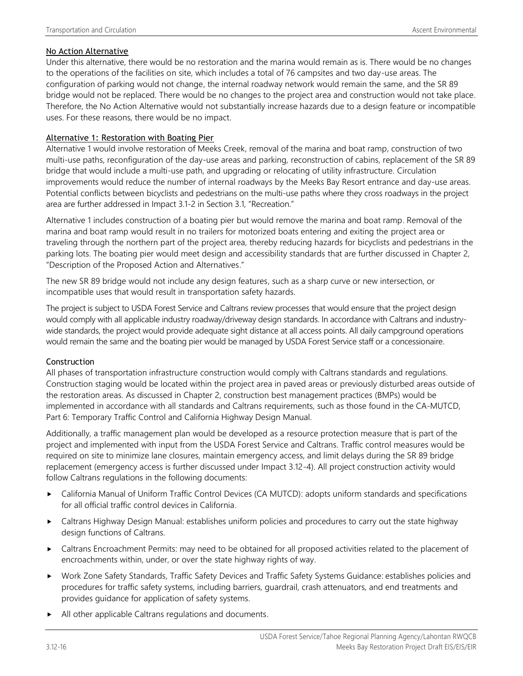#### No Action Alternative

Under this alternative, there would be no restoration and the marina would remain as is. There would be no changes to the operations of the facilities on site, which includes a total of 76 campsites and two day-use areas. The configuration of parking would not change, the internal roadway network would remain the same, and the SR 89 bridge would not be replaced. There would be no changes to the project area and construction would not take place. Therefore, the No Action Alternative would not substantially increase hazards due to a design feature or incompatible uses. For these reasons, there would be no impact.

#### Alternative 1: Restoration with Boating Pier

Alternative 1 would involve restoration of Meeks Creek, removal of the marina and boat ramp, construction of two multi-use paths, reconfiguration of the day-use areas and parking, reconstruction of cabins, replacement of the SR 89 bridge that would include a multi-use path, and upgrading or relocating of utility infrastructure. Circulation improvements would reduce the number of internal roadways by the Meeks Bay Resort entrance and day-use areas. Potential conflicts between bicyclists and pedestrians on the multi-use paths where they cross roadways in the project area are further addressed in Impact 3.1-2 in Section 3.1, "Recreation."

Alternative 1 includes construction of a boating pier but would remove the marina and boat ramp. Removal of the marina and boat ramp would result in no trailers for motorized boats entering and exiting the project area or traveling through the northern part of the project area, thereby reducing hazards for bicyclists and pedestrians in the parking lots. The boating pier would meet design and accessibility standards that are further discussed in Chapter 2, "Description of the Proposed Action and Alternatives."

The new SR 89 bridge would not include any design features, such as a sharp curve or new intersection, or incompatible uses that would result in transportation safety hazards.

The project is subject to USDA Forest Service and Caltrans review processes that would ensure that the project design would comply with all applicable industry roadway/driveway design standards. In accordance with Caltrans and industrywide standards, the project would provide adequate sight distance at all access points. All daily campground operations would remain the same and the boating pier would be managed by USDA Forest Service staff or a concessionaire.

#### Construction

All phases of transportation infrastructure construction would comply with Caltrans standards and regulations. Construction staging would be located within the project area in paved areas or previously disturbed areas outside of the restoration areas. As discussed in Chapter 2, construction best management practices (BMPs) would be implemented in accordance with all standards and Caltrans requirements, such as those found in the CA-MUTCD, Part 6: Temporary Traffic Control and California Highway Design Manual.

Additionally, a traffic management plan would be developed as a resource protection measure that is part of the project and implemented with input from the USDA Forest Service and Caltrans. Traffic control measures would be required on site to minimize lane closures, maintain emergency access, and limit delays during the SR 89 bridge replacement (emergency access is further discussed under Impact 3.12-4). All project construction activity would follow Caltrans regulations in the following documents:

- California Manual of Uniform Traffic Control Devices (CA MUTCD): adopts uniform standards and specifications for all official traffic control devices in California.
- Caltrans Highway Design Manual: establishes uniform policies and procedures to carry out the state highway design functions of Caltrans.
- Caltrans Encroachment Permits: may need to be obtained for all proposed activities related to the placement of encroachments within, under, or over the state highway rights of way.
- Work Zone Safety Standards, Traffic Safety Devices and Traffic Safety Systems Guidance: establishes policies and procedures for traffic safety systems, including barriers, guardrail, crash attenuators, and end treatments and provides guidance for application of safety systems.
- All other applicable Caltrans regulations and documents.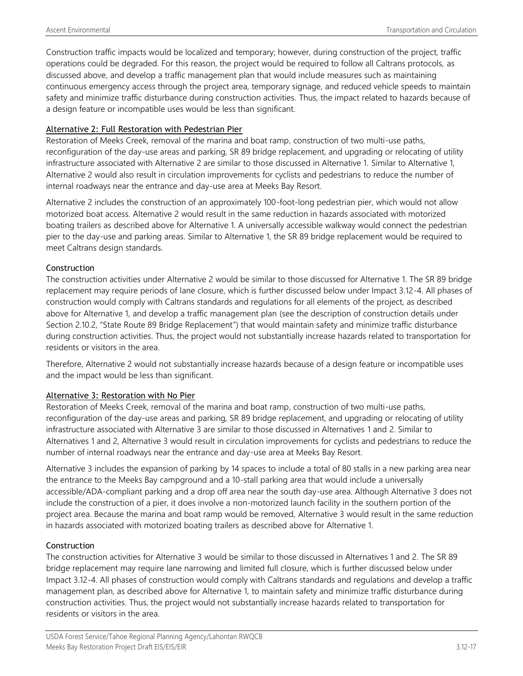Construction traffic impacts would be localized and temporary; however, during construction of the project, traffic operations could be degraded. For this reason, the project would be required to follow all Caltrans protocols, as discussed above, and develop a traffic management plan that would include measures such as maintaining continuous emergency access through the project area, temporary signage, and reduced vehicle speeds to maintain safety and minimize traffic disturbance during construction activities. Thus, the impact related to hazards because of a design feature or incompatible uses would be less than significant.

#### Alternative 2: Full Restoration with Pedestrian Pier

Restoration of Meeks Creek, removal of the marina and boat ramp, construction of two multi-use paths, reconfiguration of the day-use areas and parking, SR 89 bridge replacement, and upgrading or relocating of utility infrastructure associated with Alternative 2 are similar to those discussed in Alternative 1. Similar to Alternative 1, Alternative 2 would also result in circulation improvements for cyclists and pedestrians to reduce the number of internal roadways near the entrance and day-use area at Meeks Bay Resort.

Alternative 2 includes the construction of an approximately 100-foot-long pedestrian pier, which would not allow motorized boat access. Alternative 2 would result in the same reduction in hazards associated with motorized boating trailers as described above for Alternative 1. A universally accessible walkway would connect the pedestrian pier to the day-use and parking areas. Similar to Alternative 1, the SR 89 bridge replacement would be required to meet Caltrans design standards.

### Construction

The construction activities under Alternative 2 would be similar to those discussed for Alternative 1. The SR 89 bridge replacement may require periods of lane closure, which is further discussed below under Impact 3.12-4. All phases of construction would comply with Caltrans standards and regulations for all elements of the project, as described above for Alternative 1, and develop a traffic management plan (see the description of construction details under Section 2.10.2, "State Route 89 Bridge Replacement") that would maintain safety and minimize traffic disturbance during construction activities. Thus, the project would not substantially increase hazards related to transportation for residents or visitors in the area.

Therefore, Alternative 2 would not substantially increase hazards because of a design feature or incompatible uses and the impact would be less than significant.

#### Alternative 3: Restoration with No Pier

Restoration of Meeks Creek, removal of the marina and boat ramp, construction of two multi-use paths, reconfiguration of the day-use areas and parking, SR 89 bridge replacement, and upgrading or relocating of utility infrastructure associated with Alternative 3 are similar to those discussed in Alternatives 1 and 2. Similar to Alternatives 1 and 2, Alternative 3 would result in circulation improvements for cyclists and pedestrians to reduce the number of internal roadways near the entrance and day-use area at Meeks Bay Resort.

Alternative 3 includes the expansion of parking by 14 spaces to include a total of 80 stalls in a new parking area near the entrance to the Meeks Bay campground and a 10-stall parking area that would include a universally accessible/ADA-compliant parking and a drop off area near the south day-use area. Although Alternative 3 does not include the construction of a pier, it does involve a non-motorized launch facility in the southern portion of the project area. Because the marina and boat ramp would be removed, Alternative 3 would result in the same reduction in hazards associated with motorized boating trailers as described above for Alternative 1.

## Construction

The construction activities for Alternative 3 would be similar to those discussed in Alternatives 1 and 2. The SR 89 bridge replacement may require lane narrowing and limited full closure, which is further discussed below under Impact 3.12-4. All phases of construction would comply with Caltrans standards and regulations and develop a traffic management plan, as described above for Alternative 1, to maintain safety and minimize traffic disturbance during construction activities. Thus, the project would not substantially increase hazards related to transportation for residents or visitors in the area.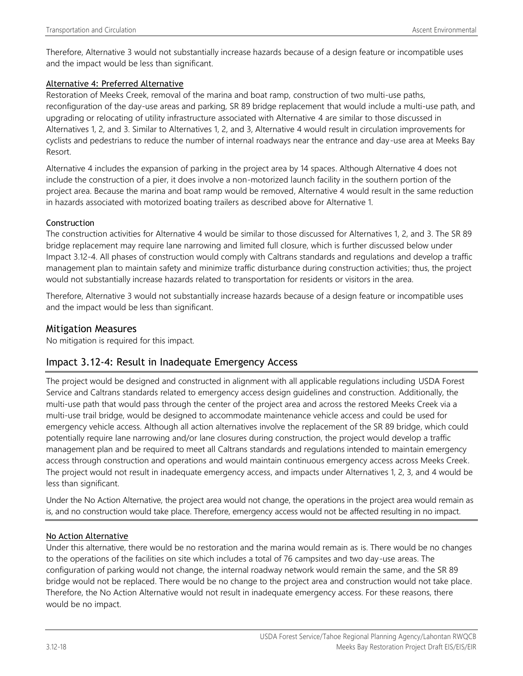Therefore, Alternative 3 would not substantially increase hazards because of a design feature or incompatible uses and the impact would be less than significant.

#### Alternative 4: Preferred Alternative

Restoration of Meeks Creek, removal of the marina and boat ramp, construction of two multi-use paths, reconfiguration of the day-use areas and parking, SR 89 bridge replacement that would include a multi-use path, and upgrading or relocating of utility infrastructure associated with Alternative 4 are similar to those discussed in Alternatives 1, 2, and 3. Similar to Alternatives 1, 2, and 3, Alternative 4 would result in circulation improvements for cyclists and pedestrians to reduce the number of internal roadways near the entrance and day-use area at Meeks Bay Resort.

Alternative 4 includes the expansion of parking in the project area by 14 spaces. Although Alternative 4 does not include the construction of a pier, it does involve a non-motorized launch facility in the southern portion of the project area. Because the marina and boat ramp would be removed, Alternative 4 would result in the same reduction in hazards associated with motorized boating trailers as described above for Alternative 1.

#### **Construction**

The construction activities for Alternative 4 would be similar to those discussed for Alternatives 1, 2, and 3. The SR 89 bridge replacement may require lane narrowing and limited full closure, which is further discussed below under Impact 3.12-4. All phases of construction would comply with Caltrans standards and regulations and develop a traffic management plan to maintain safety and minimize traffic disturbance during construction activities; thus, the project would not substantially increase hazards related to transportation for residents or visitors in the area.

Therefore, Alternative 3 would not substantially increase hazards because of a design feature or incompatible uses and the impact would be less than significant.

#### Mitigation Measures

No mitigation is required for this impact.

## Impact 3.12-4: Result in Inadequate Emergency Access

The project would be designed and constructed in alignment with all applicable regulations including USDA Forest Service and Caltrans standards related to emergency access design guidelines and construction. Additionally, the multi-use path that would pass through the center of the project area and across the restored Meeks Creek via a multi-use trail bridge, would be designed to accommodate maintenance vehicle access and could be used for emergency vehicle access. Although all action alternatives involve the replacement of the SR 89 bridge, which could potentially require lane narrowing and/or lane closures during construction, the project would develop a traffic management plan and be required to meet all Caltrans standards and regulations intended to maintain emergency access through construction and operations and would maintain continuous emergency access across Meeks Creek. The project would not result in inadequate emergency access, and impacts under Alternatives 1, 2, 3, and 4 would be less than significant.

Under the No Action Alternative, the project area would not change, the operations in the project area would remain as is, and no construction would take place. Therefore, emergency access would not be affected resulting in no impact.

#### No Action Alternative

Under this alternative, there would be no restoration and the marina would remain as is. There would be no changes to the operations of the facilities on site which includes a total of 76 campsites and two day-use areas. The configuration of parking would not change, the internal roadway network would remain the same, and the SR 89 bridge would not be replaced. There would be no change to the project area and construction would not take place. Therefore, the No Action Alternative would not result in inadequate emergency access. For these reasons, there would be no impact.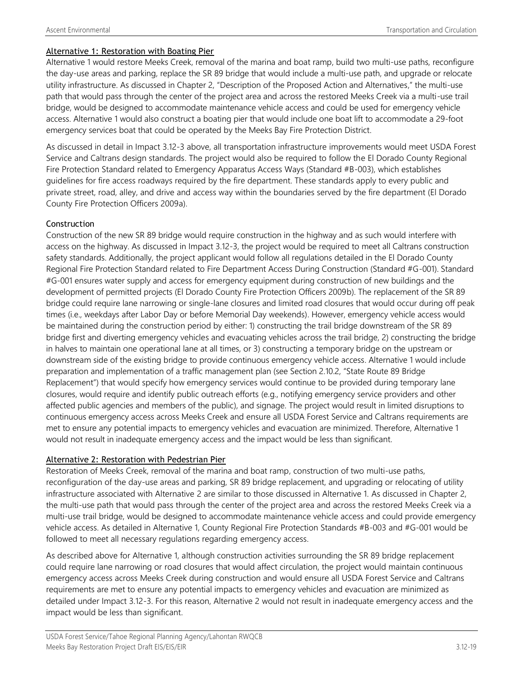#### Alternative 1: Restoration with Boating Pier

Alternative 1 would restore Meeks Creek, removal of the marina and boat ramp, build two multi-use paths, reconfigure the day-use areas and parking, replace the SR 89 bridge that would include a multi-use path, and upgrade or relocate utility infrastructure. As discussed in Chapter 2, "Description of the Proposed Action and Alternatives," the multi-use path that would pass through the center of the project area and across the restored Meeks Creek via a multi-use trail bridge, would be designed to accommodate maintenance vehicle access and could be used for emergency vehicle access. Alternative 1 would also construct a boating pier that would include one boat lift to accommodate a 29-foot emergency services boat that could be operated by the Meeks Bay Fire Protection District.

As discussed in detail in Impact 3.12-3 above, all transportation infrastructure improvements would meet USDA Forest Service and Caltrans design standards. The project would also be required to follow the El Dorado County Regional Fire Protection Standard related to Emergency Apparatus Access Ways (Standard #B-003), which establishes guidelines for fire access roadways required by the fire department. These standards apply to every public and private street, road, alley, and drive and access way within the boundaries served by the fire department (El Dorado County Fire Protection Officers 2009a).

#### Construction

Construction of the new SR 89 bridge would require construction in the highway and as such would interfere with access on the highway. As discussed in Impact 3.12-3, the project would be required to meet all Caltrans construction safety standards. Additionally, the project applicant would follow all regulations detailed in the El Dorado County Regional Fire Protection Standard related to Fire Department Access During Construction (Standard #G-001). Standard #G-001 ensures water supply and access for emergency equipment during construction of new buildings and the development of permitted projects (El Dorado County Fire Protection Officers 2009b). The replacement of the SR 89 bridge could require lane narrowing or single-lane closures and limited road closures that would occur during off peak times (i.e., weekdays after Labor Day or before Memorial Day weekends). However, emergency vehicle access would be maintained during the construction period by either: 1) constructing the trail bridge downstream of the SR 89 bridge first and diverting emergency vehicles and evacuating vehicles across the trail bridge, 2) constructing the bridge in halves to maintain one operational lane at all times, or 3) constructing a temporary bridge on the upstream or downstream side of the existing bridge to provide continuous emergency vehicle access. Alternative 1 would include preparation and implementation of a traffic management plan (see Section 2.10.2, "State Route 89 Bridge Replacement") that would specify how emergency services would continue to be provided during temporary lane closures, would require and identify public outreach efforts (e.g., notifying emergency service providers and other affected public agencies and members of the public), and signage. The project would result in limited disruptions to continuous emergency access across Meeks Creek and ensure all USDA Forest Service and Caltrans requirements are met to ensure any potential impacts to emergency vehicles and evacuation are minimized. Therefore, Alternative 1 would not result in inadequate emergency access and the impact would be less than significant.

#### Alternative 2: Restoration with Pedestrian Pier

Restoration of Meeks Creek, removal of the marina and boat ramp, construction of two multi-use paths, reconfiguration of the day-use areas and parking, SR 89 bridge replacement, and upgrading or relocating of utility infrastructure associated with Alternative 2 are similar to those discussed in Alternative 1. As discussed in Chapter 2, the multi-use path that would pass through the center of the project area and across the restored Meeks Creek via a multi-use trail bridge, would be designed to accommodate maintenance vehicle access and could provide emergency vehicle access. As detailed in Alternative 1, County Regional Fire Protection Standards #B-003 and #G-001 would be followed to meet all necessary regulations regarding emergency access.

As described above for Alternative 1, although construction activities surrounding the SR 89 bridge replacement could require lane narrowing or road closures that would affect circulation, the project would maintain continuous emergency access across Meeks Creek during construction and would ensure all USDA Forest Service and Caltrans requirements are met to ensure any potential impacts to emergency vehicles and evacuation are minimized as detailed under Impact 3.12-3. For this reason, Alternative 2 would not result in inadequate emergency access and the impact would be less than significant.